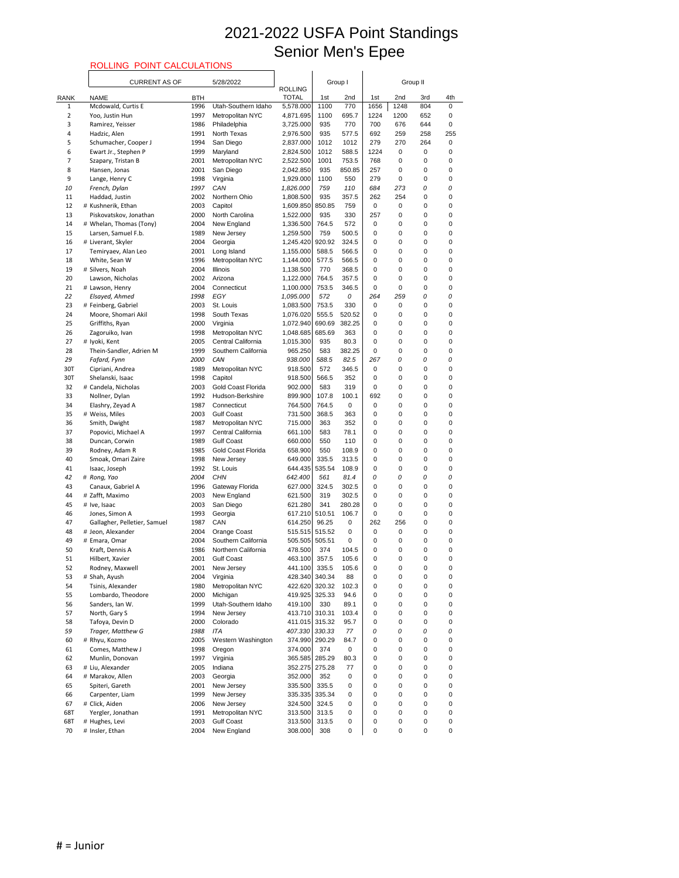#### ROLLING POINT CALCULATIONS

|             | <b>RULLING</b><br><b>POINT CALCULATIONS</b> |              |                                               |                                |                 |                  |                  |          |                  |        |
|-------------|---------------------------------------------|--------------|-----------------------------------------------|--------------------------------|-----------------|------------------|------------------|----------|------------------|--------|
|             | <b>CURRENT AS OF</b>                        |              | 5/28/2022                                     |                                | Group I         |                  |                  | Group II |                  |        |
| <b>RANK</b> | <b>NAME</b>                                 | <b>BTH</b>   |                                               | <b>ROLLING</b><br><b>TOTAL</b> | 1st             | 2nd              | 1st              | 2nd      | 3rd              | 4th    |
| 1           | Mcdowald, Curtis E                          | 1996         | Utah-Southern Idaho                           | 5,578.000                      | 1100            | 770              | 1656             | 1248     | 804              | 0      |
| 2           | Yoo, Justin Hun                             | 1997         | Metropolitan NYC                              | 4,871.695                      | 1100            | 695.7            | 1224             | 1200     | 652              | 0      |
| 3           | Ramirez, Yeisser                            | 1986         | Philadelphia                                  | 3,725.000                      | 935             | 770              | 700              | 676      | 644              | 0      |
| 4           | Hadzic, Alen                                | 1991         | North Texas                                   | 2,976.500                      | 935             | 577.5            | 692              | 259      | 258              | 255    |
| 5           | Schumacher, Cooper J                        | 1994         | San Diego                                     | 2,837.000                      | 1012            | 1012             | 279              | 270      | 264              | 0      |
| 6<br>7      | Ewart Jr., Stephen P<br>Szapary, Tristan B  | 1999<br>2001 | Maryland<br>Metropolitan NYC                  | 2,824.500<br>2,522.500         | 1012<br>1001    | 588.5<br>753.5   | 1224<br>768      | 0<br>0   | 0<br>0           | 0<br>0 |
| 8           | Hansen, Jonas                               | 2001         | San Diego                                     | 2,042.850                      | 935             | 850.85           | 257              | 0        | $\mathbf 0$      | 0      |
| 9           | Lange, Henry C                              | 1998         | Virginia                                      | 1,929.000                      | 1100            | 550              | 279              | 0        | 0                | 0      |
| 10          | French, Dylan                               | 1997         | CAN                                           | 1,826.000                      | 759             | 110              | 684              | 273      | 0                | 0      |
| 11          | Haddad, Justin                              | 2002         | Northern Ohio                                 | 1,808.500                      | 935             | 357.5            | 262              | 254      | $\mathbf 0$      | 0      |
| 12          | # Kushnerik, Ethan                          | 2003         | Capitol                                       | 1,609.850                      | 850.85          | 759              | 0                | 0        | 0                | 0      |
| 13          | Piskovatskov, Jonathan                      | 2000         | North Carolina                                | 1,522.000                      | 935             | 330              | 257              | 0        | $\mathbf 0$      | 0      |
| 14          | # Whelan, Thomas (Tony)                     | 2004         | New England                                   | 1,336.500                      | 764.5           | 572              | 0                | 0        | 0                | 0      |
| 15<br>16    | Larsen, Samuel F.b.<br># Liverant, Skyler   | 1989<br>2004 | New Jersey<br>Georgia                         | 1,259.500<br>1,245.420         | 759<br>920.92   | 500.5<br>324.5   | 0<br>$\mathbf 0$ | 0<br>0   | 0<br>$\mathbf 0$ | 0<br>0 |
| 17          | Temiryaev, Alan Leo                         | 2001         | Long Island                                   | 1,155.000                      | 588.5           | 566.5            | 0                | 0        | 0                | 0      |
| 18          | White, Sean W                               | 1996         | Metropolitan NYC                              | 1,144.000                      | 577.5           | 566.5            | 0                | 0        | $\mathbf 0$      | 0      |
| 19          | # Silvers, Noah                             | 2004         | Illinois                                      | 1,138.500                      | 770             | 368.5            | 0                | 0        | 0                | 0      |
| 20          | Lawson, Nicholas                            | 2002         | Arizona                                       | 1,122.000                      | 764.5           | 357.5            | 0                | 0        | 0                | 0      |
| 21          | # Lawson, Henry                             | 2004         | Connecticut                                   | 1,100.000                      | 753.5           | 346.5            | 0                | 0        | $\mathbf 0$      | 0      |
| 22          | Elsayed, Ahmed                              | 1998         | EGY                                           | 1,095.000                      | 572             | 0                | 264              | 259      | 0                | 0      |
| 23          | # Feinberg, Gabriel                         | 2003         | St. Louis                                     | 1,083.500                      | 753.5           | 330              | 0                | 0        | 0                | 0      |
| 24<br>25    | Moore, Shomari Akil<br>Griffiths, Ryan      | 1998<br>2000 | South Texas<br>Virginia                       | 1,076.020<br>1,072.940         | 555.5<br>690.69 | 520.52<br>382.25 | 0<br>0           | 0<br>0   | $\mathbf 0$<br>0 | 0<br>0 |
| 26          | Zagoruiko, Ivan                             | 1998         | Metropolitan NYC                              | 1,048.685                      | 685.69          | 363              | $\mathbf 0$      | 0        | $\pmb{0}$        | 0      |
| 27          | # Iyoki, Kent                               | 2005         | Central California                            | 1,015.300                      | 935             | 80.3             | 0                | 0        | 0                | 0      |
| 28          | Thein-Sandler, Adrien M                     | 1999         | Southern California                           | 965.250                        | 583             | 382.25           | 0                | 0        | 0                | 0      |
| 29          | Fafard, Fynn                                | 2000         | CAN                                           | 938.000                        | 588.5           | 82.5             | 267              | 0        | 0                | 0      |
| 30T         | Cipriani, Andrea                            | 1989         | Metropolitan NYC                              | 918.500                        | 572             | 346.5            | 0                | 0        | 0                | 0      |
| 30T         | Shelanski, Isaac                            | 1998         | Capitol                                       | 918.500                        | 566.5           | 352              | 0                | 0        | 0                | 0      |
| 32<br>33    | # Candela, Nicholas<br>Nollner, Dylan       | 2003<br>1992 | <b>Gold Coast Florida</b><br>Hudson-Berkshire | 902.000<br>899.900             | 583<br>107.8    | 319<br>100.1     | 0<br>692         | 0<br>0   | 0<br>0           | 0<br>0 |
| 34          | Elashry, Zeyad A                            | 1987         | Connecticut                                   | 764.500                        | 764.5           | 0                | 0                | 0        | $\mathbf 0$      | 0      |
| 35          | # Weiss, Miles                              | 2003         | <b>Gulf Coast</b>                             | 731.500                        | 368.5           | 363              | 0                | 0        | 0                | 0      |
| 36          | Smith, Dwight                               | 1987         | Metropolitan NYC                              | 715.000                        | 363             | 352              | 0                | 0        | 0                | 0      |
| 37          | Popovici, Michael A                         | 1997         | Central California                            | 661.100                        | 583             | 78.1             | 0                | 0        | 0                | 0      |
| 38          | Duncan, Corwin                              | 1989         | <b>Gulf Coast</b>                             | 660.000                        | 550             | 110              | 0                | 0        | 0                | 0      |
| 39          | Rodney, Adam R                              | 1985         | <b>Gold Coast Florida</b>                     | 658.900                        | 550             | 108.9            | 0                | 0        | $\mathbf 0$      | 0      |
| 40          | Smoak, Omari Zaire                          | 1998         | New Jersey                                    | 649.000                        | 335.5           | 313.5            | 0                | 0        | 0                | 0      |
| 41<br>42    | Isaac, Joseph<br># Rong, Yao                | 1992<br>2004 | St. Louis<br><b>CHN</b>                       | 644.435<br>642.400             | 535.54<br>561   | 108.9<br>81.4    | 0<br>0           | 0<br>0   | 0<br>0           | 0<br>0 |
| 43          | Canaux, Gabriel A                           | 1996         | Gateway Florida                               | 627.000                        | 324.5           | 302.5            | 0                | 0        | 0                | 0      |
| 44          | # Zafft, Maximo                             | 2003         | New England                                   | 621.500                        | 319             | 302.5            | 0                | 0        | 0                | 0      |
| 45          | # Ive, Isaac                                | 2003         | San Diego                                     | 621.280                        | 341             | 280.28           | 0                | 0        | 0                | 0      |
| 46          | Jones, Simon A                              | 1993         | Georgia                                       | 617.210                        | 510.51          | 106.7            | 0                | 0        | 0                | 0      |
| 47          | Gallagher, Pelletier, Samuel                | 1987         | CAN                                           | 614.250                        | 96.25           | 0                | 262              | 256      | 0                | 0      |
| 48          | # Jeon, Alexander                           | 2004         | Orange Coast                                  | 515.515                        | 515.52          | 0                | 0                | 0        | 0                | 0      |
| 49<br>50    | # Emara, Omar<br>Kraft, Dennis A            | 2004<br>1986 | Southern California<br>Northern California    | 505.505 505.51<br>478.500      | 374             | 0<br>104.5       | 0<br>0           | 0<br>0   | 0<br>0           | 0<br>0 |
| 51          | Hilbert, Xavier                             | 2001         | <b>Gulf Coast</b>                             | 463.100                        | 357.5           | 105.6            | 0                | 0        | 0                | 0      |
| 52          | Rodney, Maxwell                             | 2001         | New Jersey                                    | 441.100                        | 335.5           | 105.6            | 0                | 0        | 0                | 0      |
| 53          | # Shah, Ayush                               | 2004         | Virginia                                      | 428.340                        | 340.34          | 88               | 0                | 0        | 0                | 0      |
| 54          | Tsinis, Alexander                           | 1980         | Metropolitan NYC                              | 422.620                        | 320.32          | 102.3            | 0                | 0        | 0                | 0      |
| 55          | Lombardo, Theodore                          | 2000         | Michigan                                      | 419.925                        | 325.33          | 94.6             | 0                | 0        | $\mathbf 0$      | 0      |
| 56          | Sanders, Ian W.                             | 1999         | Utah-Southern Idaho                           | 419.100                        | 330             | 89.1             | 0                | 0        | 0                | 0      |
| 57<br>58    | North, Gary S<br>Tafoya, Devin D            | 1994<br>2000 | New Jersey<br>Colorado                        | 413.710<br>411.015 315.32      | 310.31          | 103.4<br>95.7    | 0<br>0           | 0<br>0   | 0<br>0           | 0<br>0 |
| 59          | Trager, Matthew G                           | 1988         | <b>ITA</b>                                    | 407.330 330.33                 |                 | 77               | 0                | $\Omega$ | $\Omega$         | 0      |
| 60          | # Rhyu, Kozmo                               | 2005         | Western Washington                            | 374.990 290.29                 |                 | 84.7             | 0                | 0        | 0                | 0      |
| 61          | Comes, Matthew J                            | 1998         | Oregon                                        | 374.000                        | 374             | 0                | 0                | 0        | 0                | 0      |
| 62          | Munlin, Donovan                             | 1997         | Virginia                                      | 365.585 285.29                 |                 | 80.3             | 0                | 0        | 0                | 0      |
| 63          | # Liu, Alexander                            | 2005         | Indiana                                       | 352.275 275.28                 |                 | 77               | 0                | 0        | 0                | 0      |
| 64          | # Marakov, Allen                            | 2003         | Georgia                                       | 352.000                        | 352             | 0                | 0                | 0        | 0                | 0      |
| 65          | Spiteri, Gareth                             | 2001         | New Jersey                                    | 335.500                        | 335.5           | 0                | 0                | 0        | 0                | 0      |
| 66<br>67    | Carpenter, Liam<br># Click, Aiden           | 1999<br>2006 | New Jersey<br>New Jersey                      | 335.335<br>324.500             | 335.34<br>324.5 | 0<br>0           | 0<br>0           | 0<br>0   | 0<br>0           | 0<br>0 |
| 68T         | Yergler, Jonathan                           | 1991         | Metropolitan NYC                              | 313.500                        | 313.5           | 0                | 0                | 0        | 0                | 0      |
| 68T         | # Hughes, Levi                              | 2003         | <b>Gulf Coast</b>                             | 313.500                        | 313.5           | 0                | 0                | 0        | 0                | 0      |
| 70          | # Insler, Ethan                             | 2004         | New England                                   | 308.000                        | 308             | 0                | 0                | 0        | $\pmb{0}$        | 0      |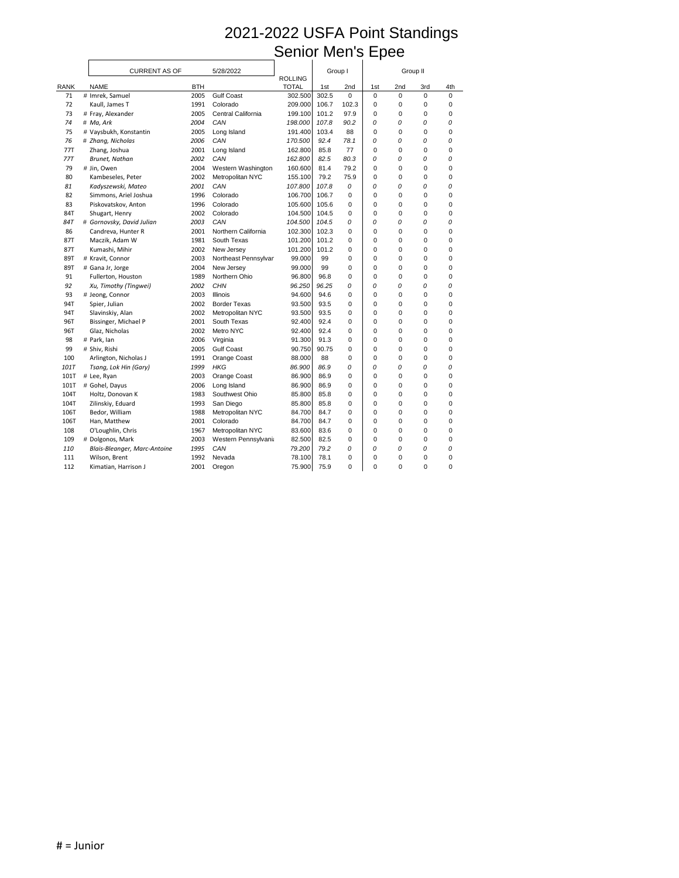|             | <b>CURRENT AS OF</b>         |            | 5/28/2022            | <b>ROLLING</b> | Group I |             |             | Group II |             |     |
|-------------|------------------------------|------------|----------------------|----------------|---------|-------------|-------------|----------|-------------|-----|
| <b>RANK</b> | <b>NAME</b>                  | <b>BTH</b> |                      | <b>TOTAL</b>   | 1st     | 2nd         | 1st         | 2nd      | 3rd         | 4th |
| 71          | # Imrek, Samuel              | 2005       | <b>Gulf Coast</b>    | 302.500        | 302.5   | $\mathbf 0$ | $\mathbf 0$ | 0        | $\mathbf 0$ | 0   |
| 72          | Kaull, James T               | 1991       | Colorado             | 209.000        | 106.7   | 102.3       | 0           | 0        | 0           | 0   |
| 73          | # Fray, Alexander            | 2005       | Central California   | 199.100        | 101.2   | 97.9        | 0           | 0        | 0           | 0   |
| 74          | # Ma, Ark                    | 2004       | CAN                  | 198.000        | 107.8   | 90.2        | 0           | 0        | 0           | 0   |
| 75          | # Vaysbukh, Konstantin       | 2005       | Long Island          | 191.400        | 103.4   | 88          | 0           | 0        | 0           | 0   |
| 76          | # Zhang, Nicholas            | 2006       | CAN                  | 170.500        | 92.4    | 78.1        | 0           | 0        | 0           | 0   |
| <b>77T</b>  | Zhang, Joshua                | 2001       | Long Island          | 162.800        | 85.8    | 77          | 0           | 0        | 0           | 0   |
| 77T         | Brunet, Nathan               | 2002       | CAN                  | 162.800        | 82.5    | 80.3        | 0           | 0        | 0           | 0   |
| 79          | # Jin, Owen                  | 2004       | Western Washington   | 160.600        | 81.4    | 79.2        | 0           | 0        | 0           | 0   |
| 80          | Kambeseles, Peter            | 2002       | Metropolitan NYC     | 155.100        | 79.2    | 75.9        | 0           | 0        | 0           | 0   |
| 81          | Kadyszewski, Mateo           | 2001       | CAN                  | 107.800        | 107.8   | 0           | 0           | 0        | 0           | 0   |
| 82          | Simmons, Ariel Joshua        | 1996       | Colorado             | 106.700        | 106.7   | 0           | 0           | 0        | 0           | 0   |
| 83          | Piskovatskov, Anton          | 1996       | Colorado             | 105.600        | 105.6   | 0           | 0           | 0        | 0           | 0   |
| 84T         | Shugart, Henry               | 2002       | Colorado             | 104.500        | 104.5   | 0           | 0           | 0        | 0           | 0   |
| 84T         | # Gornovsky, David Julian    | 2003       | CAN                  | 104.500        | 104.5   | 0           | 0           | 0        | 0           | 0   |
| 86          | Candreva, Hunter R           | 2001       | Northern California  | 102.300        | 102.3   | 0           | 0           | 0        | 0           | 0   |
| 87T         | Maczik, Adam W               | 1981       | South Texas          | 101.200        | 101.2   | 0           | 0           | 0        | 0           | 0   |
| 87T         | Kumashi, Mihir               | 2002       | New Jersey           | 101.200        | 101.2   | 0           | 0           | 0        | 0           | 0   |
| 89T         | # Kravit, Connor             | 2003       | Northeast Pennsylvar | 99.000         | 99      | 0           | 0           | 0        | 0           | 0   |
| 89T         | # Gana Jr, Jorge             | 2004       | New Jersey           | 99.000         | 99      | 0           | 0           | 0        | 0           | 0   |
| 91          | Fullerton, Houston           | 1989       | Northern Ohio        | 96.800         | 96.8    | 0           | 0           | 0        | 0           | 0   |
| 92          | Xu, Timothy (Tingwei)        | 2002       | <b>CHN</b>           | 96.250         | 96.25   | 0           | 0           | 0        | 0           | 0   |
| 93          | # Jeong, Connor              | 2003       | Illinois             | 94.600         | 94.6    | 0           | 0           | 0        | 0           | 0   |
| 94T         | Spier, Julian                | 2002       | <b>Border Texas</b>  | 93.500         | 93.5    | 0           | 0           | 0        | 0           | 0   |
| 94T         | Slavinskiy, Alan             | 2002       | Metropolitan NYC     | 93.500         | 93.5    | 0           | 0           | 0        | 0           | 0   |
| 96T         | Bissinger, Michael P         | 2001       | South Texas          | 92.400         | 92.4    | 0           | 0           | 0        | 0           | 0   |
| 96T         | Glaz, Nicholas               | 2002       | Metro NYC            | 92.400         | 92.4    | 0           | 0           | 0        | 0           | 0   |
| 98          | # Park, lan                  | 2006       | Virginia             | 91.300         | 91.3    | $\Omega$    | 0           | 0        | 0           | 0   |
| 99          | # Shiv, Rishi                | 2005       | <b>Gulf Coast</b>    | 90.750         | 90.75   | 0           | 0           | 0        | 0           | 0   |
| 100         | Arlington, Nicholas J        | 1991       | Orange Coast         | 88.000         | 88      | 0           | 0           | 0        | 0           | 0   |
| 101T        | Tsang, Lok Hin (Gary)        | 1999       | <b>HKG</b>           | 86.900         | 86.9    | 0           | 0           | 0        | 0           | 0   |
| 101T        | # Lee, Ryan                  | 2003       | Orange Coast         | 86.900         | 86.9    | 0           | 0           | 0        | 0           | 0   |
| 101T        | # Gohel, Dayus               | 2006       | Long Island          | 86.900         | 86.9    | 0           | 0           | 0        | 0           | 0   |
| 104T        | Holtz, Donovan K             | 1983       | Southwest Ohio       | 85.800         | 85.8    | 0           | 0           | 0        | 0           | 0   |
| 104T        | Zilinskiy, Eduard            | 1993       | San Diego            | 85.800         | 85.8    | 0           | 0           | 0        | 0           | 0   |
| 106T        | Bedor, William               | 1988       | Metropolitan NYC     | 84.700         | 84.7    | 0           | 0           | 0        | 0           | 0   |
| 106T        | Han, Matthew                 | 2001       | Colorado             | 84.700         | 84.7    | 0           | 0           | 0        | 0           | 0   |
| 108         | O'Loughlin, Chris            | 1967       | Metropolitan NYC     | 83.600         | 83.6    | 0           | 0           | 0        | 0           | 0   |
| 109         | # Dolgonos, Mark             | 2003       | Western Pennsylvania | 82.500         | 82.5    | 0           | 0           | 0        | 0           | 0   |
| 110         | Blais-Bleanger, Marc-Antoine | 1995       | CAN                  | 79.200         | 79.2    | 0           | 0           | 0        | 0           | 0   |
| 111         | Wilson, Brent                | 1992       | Nevada               | 78.100         | 78.1    | 0           | 0           | 0        | 0           | 0   |
| 112         | Kimatian, Harrison J         | 2001       | Oregon               | 75.900         | 75.9    | 0           | $\pmb{0}$   | 0        | 0           | 0   |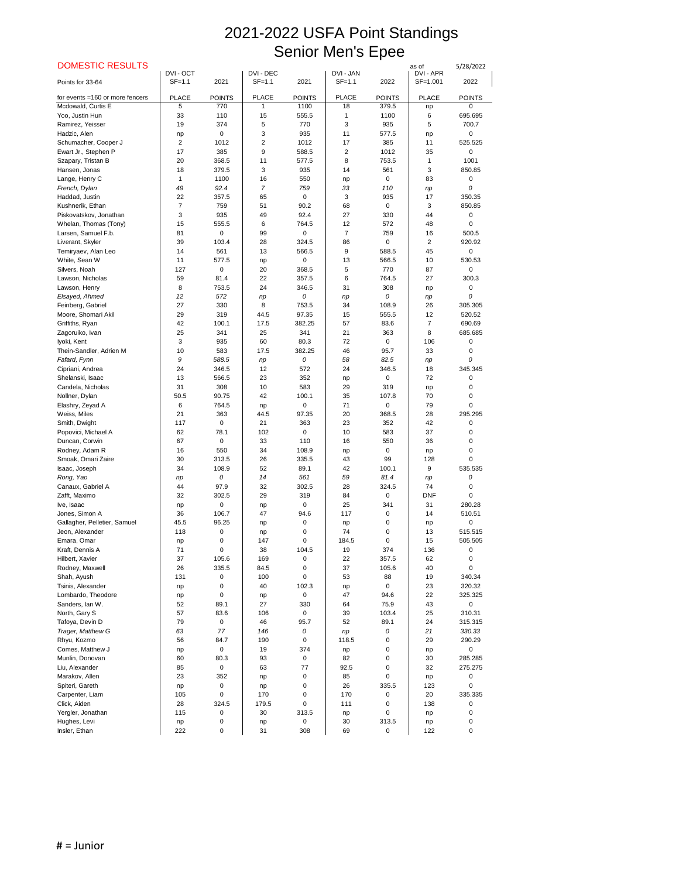| <b>DOMESTIC RESULTS</b>                         | DVI - OCT      |                   | DVI - DEC      |                           | DVI - JAN            |               | as of<br>DVI - APR | 5/28/2022             |
|-------------------------------------------------|----------------|-------------------|----------------|---------------------------|----------------------|---------------|--------------------|-----------------------|
| Points for 33-64                                | $SF=1.1$       | 2021              | $SF=1.1$       | 2021                      | $SF=1.1$             | 2022          | SF=1.001           | 2022                  |
|                                                 |                |                   |                |                           |                      |               |                    |                       |
| for events =160 or more fencers                 | <b>PLACE</b>   | <b>POINTS</b>     | <b>PLACE</b>   | <b>POINTS</b>             | <b>PLACE</b>         | <b>POINTS</b> | <b>PLACE</b>       | <b>POINTS</b>         |
| Mcdowald, Curtis E                              | 5              | 770               | 1              | 1100                      | 18                   | 379.5         | np                 | $\Omega$              |
| Yoo, Justin Hun<br>Ramirez, Yeisser             | 33<br>19       | 110<br>374        | 15<br>5        | 555.5<br>770              | 1<br>3               | 1100<br>935   | 6<br>5             | 695.695<br>700.7      |
| Hadzic, Alen                                    | np             | $\pmb{0}$         | 3              | 935                       | 11                   | 577.5         | np                 | 0                     |
| Schumacher, Cooper J                            | $\overline{2}$ | 1012              | $\overline{2}$ | 1012                      | 17                   | 385           | 11                 | 525.525               |
| Ewart Jr., Stephen P                            | 17             | 385               | 9              | 588.5                     | 2                    | 1012          | 35                 | 0                     |
| Szapary, Tristan B                              | 20             | 368.5             | 11             | 577.5                     | 8                    | 753.5         | 1                  | 1001                  |
| Hansen, Jonas                                   | 18             | 379.5             | 3              | 935                       | 14                   | 561           | 3                  | 850.85                |
| Lange, Henry C                                  | 1              | 1100              | 16             | 550                       | np                   | $\Omega$      | 83                 | 0                     |
| French, Dylan                                   | 49             | 92.4              | 7              | 759                       | 33                   | 110           | np                 | 0                     |
| Haddad, Justin                                  | 22             | 357.5             | 65             | 0                         | 3                    | 935           | 17                 | 350.35                |
| Kushnerik, Ethan                                | $\overline{7}$ | 759               | 51             | 90.2                      | 68                   | 0             | 3                  | 850.85                |
| Piskovatskov, Jonathan                          | 3              | 935               | 49             | 92.4                      | 27                   | 330           | 44                 | 0<br>$\Omega$         |
| Whelan, Thomas (Tony)<br>Larsen, Samuel F.b.    | 15<br>81       | 555.5<br>0        | 6<br>99        | 764.5<br>$\boldsymbol{0}$ | 12<br>$\overline{7}$ | 572<br>759    | 48<br>16           | 500.5                 |
| Liverant, Skyler                                | 39             | 103.4             | 28             | 324.5                     | 86                   | $\Omega$      | $\overline{2}$     | 920.92                |
| Temiryaev, Alan Leo                             | 14             | 561               | 13             | 566.5                     | 9                    | 588.5         | 45                 | 0                     |
| White, Sean W                                   | 11             | 577.5             | np             | $\mathbf 0$               | 13                   | 566.5         | 10                 | 530.53                |
| Silvers, Noah                                   | 127            | 0                 | 20             | 368.5                     | 5                    | 770           | 87                 | $\mathbf{0}$          |
| Lawson, Nicholas                                | 59             | 81.4              | 22             | 357.5                     | 6                    | 764.5         | 27                 | 300.3                 |
| Lawson, Henry                                   | 8              | 753.5             | 24             | 346.5                     | 31                   | 308           | np                 | 0                     |
| Elsayed, Ahmed                                  | 12             | 572               | np             | 0                         | np                   | 0             | np                 | 0                     |
| Feinberg, Gabriel                               | 27             | 330               | 8              | 753.5                     | 34                   | 108.9         | 26                 | 305.305               |
| Moore, Shomari Akil                             | 29             | 319               | 44.5           | 97.35                     | 15                   | 555.5         | 12                 | 520.52                |
| Griffiths, Ryan                                 | 42             | 100.1             | 17.5           | 382.25                    | 57                   | 83.6          | $\overline{7}$     | 690.69                |
| Zagoruiko, Ivan<br>Iyoki, Kent                  | 25<br>3        | 341<br>935        | 25<br>60       | 341<br>80.3               | 21<br>72             | 363<br>0      | 8<br>106           | 685.685<br>0          |
| Thein-Sandler, Adrien M                         | 10             | 583               | 17.5           | 382.25                    | 46                   | 95.7          | 33                 | 0                     |
| Fafard, Fynn                                    | 9              | 588.5             | np             | 0                         | 58                   | 82.5          | np                 | 0                     |
| Cipriani, Andrea                                | 24             | 346.5             | 12             | 572                       | 24                   | 346.5         | 18                 | 345.345               |
| Shelanski, Isaac                                | 13             | 566.5             | 23             | 352                       | np                   | 0             | 72                 | 0                     |
| Candela, Nicholas                               | 31             | 308               | 10             | 583                       | 29                   | 319           | np                 | 0                     |
| Nollner, Dylan                                  | 50.5           | 90.75             | 42             | 100.1                     | 35                   | 107.8         | 70                 | 0                     |
| Elashry, Zeyad A                                | 6              | 764.5             | np             | $\boldsymbol{0}$          | 71                   | 0             | 79                 | 0                     |
| Weiss, Miles                                    | 21             | 363               | 44.5           | 97.35                     | 20                   | 368.5         | 28                 | 295.295               |
| Smith, Dwight                                   | 117            | 0                 | 21             | 363                       | 23                   | 352           | 42                 | 0                     |
| Popovici, Michael A<br>Duncan, Corwin           | 62<br>67       | 78.1<br>$\pmb{0}$ | 102<br>33      | 0<br>110                  | 10<br>16             | 583<br>550    | 37<br>36           | 0<br>0                |
| Rodney, Adam R                                  | 16             | 550               | 34             | 108.9                     | np                   | 0             | np                 | 0                     |
| Smoak, Omari Zaire                              | 30             | 313.5             | 26             | 335.5                     | 43                   | 99            | 128                | 0                     |
| Isaac, Joseph                                   | 34             | 108.9             | 52             | 89.1                      | 42                   | 100.1         | 9                  | 535.535               |
| Rong, Yao                                       | np             | 0                 | 14             | 561                       | 59                   | 81.4          | np                 | 0                     |
| Canaux, Gabriel A                               | 44             | 97.9              | 32             | 302.5                     | 28                   | 324.5         | 74                 | 0                     |
| Zafft, Maximo                                   | 32             | 302.5             | 29             | 319                       | 84                   | $\Omega$      | <b>DNF</b>         | 0                     |
| Ive, Isaac                                      | np             | $\pmb{0}$         | np             | 0                         | 25                   | 341           | 31                 | 280.28                |
| Jones, Simon A                                  | 36             | 106.7             | 47             | 94.6                      | 117                  | 0             | 14                 | 510.51                |
| Gallagher, Pelletier, Samuel<br>Jeon, Alexander | 45.5<br>118    | 96.25             | np             | 0                         | np<br>74             | $\Omega$<br>0 | np                 | 0<br>515.515          |
| Emara, Omar                                     | np             | 0<br>0            | np<br>147      | 0<br>0                    | 184.5                | $\Omega$      | 13<br>15           | 505.505               |
| Kraft, Dennis A                                 | 71             | 0                 | 38             | 104.5                     | 19                   | 374           | 136                | 0                     |
| Hilbert, Xavier                                 | 37             | 105.6             | 169            | 0                         | 22                   | 357.5         | 62                 | 0                     |
| Rodney, Maxwell                                 | 26             | 335.5             | 84.5           | 0                         | 37                   | 105.6         | 40                 | $\Omega$              |
| Shah, Ayush                                     | 131            | 0                 | 100            | 0                         | 53                   | 88            | 19                 | 340.34                |
| Tsinis, Alexander                               | np             | 0                 | 40             | 102.3                     | np                   | 0             | 23                 | 320.32                |
| Lombardo, Theodore                              | np             | 0                 | np             | 0                         | 47                   | 94.6          | 22                 | 325.325               |
| Sanders, lan W.                                 | 52             | 89.1              | 27             | 330                       | 64                   | 75.9          | 43                 | $\pmb{0}$             |
| North, Gary S                                   | 57             | 83.6              | 106            | 0                         | 39                   | 103.4         | 25                 | 310.31                |
| Tafoya, Devin D                                 | 79             | 0                 | 46             | 95.7                      | 52                   | 89.1          | 24                 | 315.315               |
| Trager, Matthew G                               | 63             | 77                | 146            | 0                         | np                   | 0             | 21                 | 330.33                |
| Rhyu, Kozmo<br>Comes, Matthew J                 | 56<br>np       | 84.7<br>0         | 190<br>19      | $\Omega$<br>374           | 118.5<br>np          | $\Omega$<br>0 | 29                 | 290.29<br>$\mathbf 0$ |
| Munlin, Donovan                                 | 60             | 80.3              | 93             | $\mathbf 0$               | 82                   | 0             | np<br>30           | 285.285               |
| Liu, Alexander                                  | 85             | 0                 | 63             | 77                        | 92.5                 | 0             | 32                 | 275.275               |
| Marakov, Allen                                  | 23             | 352               | np             | 0                         | 85                   | $\mathbf 0$   | np                 | 0                     |
| Spiteri, Gareth                                 | np             | 0                 | np             | 0                         | 26                   | 335.5         | 123                | 0                     |
| Carpenter, Liam                                 | 105            | 0                 | 170            | 0                         | 170                  | 0             | 20                 | 335.335               |
| Click, Aiden                                    | 28             | 324.5             | 179.5          | 0                         | 111                  | $\Omega$      | 138                | 0                     |
| Yergler, Jonathan                               | 115            | 0                 | 30             | 313.5                     | np                   | $\Omega$      | np                 | 0                     |
| Hughes, Levi                                    | np             | 0                 | np             | 0                         | 30                   | 313.5         | np                 | 0                     |
| Insler, Ethan                                   | 222            | $\pmb{0}$         | 31             | 308                       | 69                   | 0             | 122                | 0                     |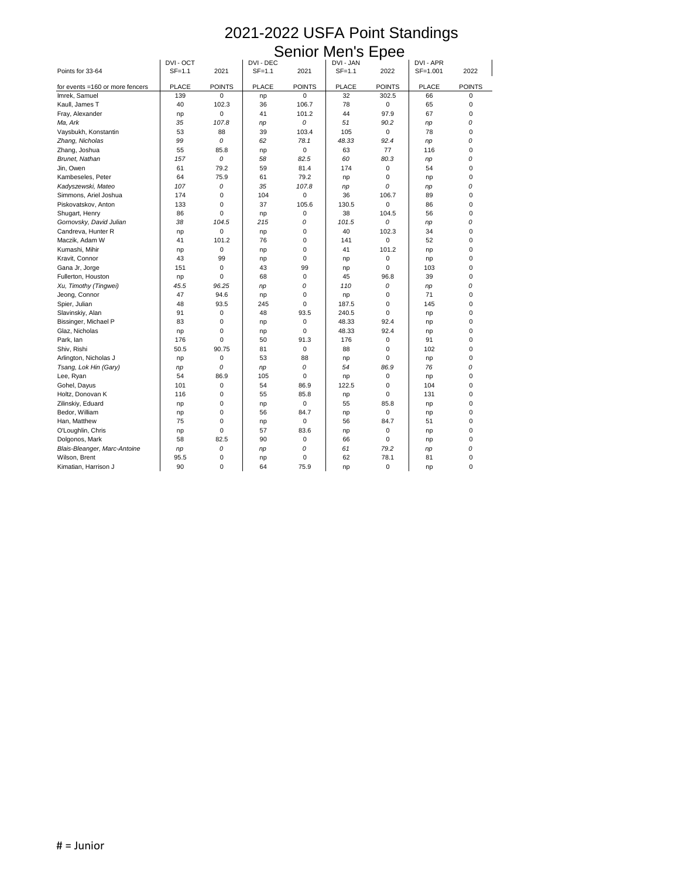### Senior Men's Epee

|                                 | DVI - OCT    |               | DVI - DEC    |               | DVI - JAN    |               | DVI - APR    |               |
|---------------------------------|--------------|---------------|--------------|---------------|--------------|---------------|--------------|---------------|
| Points for 33-64                | $SF=1.1$     | 2021          | $SF=1.1$     | 2021          | $SF=1.1$     | 2022          | SF=1.001     | 2022          |
| for events =160 or more fencers | <b>PLACE</b> | <b>POINTS</b> | <b>PLACE</b> | <b>POINTS</b> | <b>PLACE</b> | <b>POINTS</b> | <b>PLACE</b> | <b>POINTS</b> |
| Imrek, Samuel                   | 139          | $\mathbf 0$   | np           | $\mathbf 0$   | 32           | 302.5         | 66           | 0             |
| Kaull, James T                  | 40           | 102.3         | 36           | 106.7         | 78           | 0             | 65           | 0             |
| Fray, Alexander                 | np           | $\mathbf 0$   | 41           | 101.2         | 44           | 97.9          | 67           | 0             |
| Ma, Ark                         | 35           | 107.8         | np           | 0             | 51           | 90.2          | np           | 0             |
| Vaysbukh, Konstantin            | 53           | 88            | 39           | 103.4         | 105          | $\Omega$      | 78           | 0             |
| Zhang, Nicholas                 | 99           | 0             | 62           | 78.1          | 48.33        | 92.4          | np           | 0             |
| Zhang, Joshua                   | 55           | 85.8          | np           | $\mathbf 0$   | 63           | 77            | 116          | 0             |
| Brunet, Nathan                  | 157          | 0             | 58           | 82.5          | 60           | 80.3          | np           | 0             |
| Jin, Owen                       | 61           | 79.2          | 59           | 81.4          | 174          | 0             | 54           | 0             |
| Kambeseles, Peter               | 64           | 75.9          | 61           | 79.2          |              | 0             |              | 0             |
| Kadyszewski, Mateo              | 107          | 0             | 35           | 107.8         | np           | 0             | np           | 0             |
| Simmons, Ariel Joshua           | 174          | $\pmb{0}$     | 104          | 0             | np<br>36     | 106.7         | np<br>89     | 0             |
| Piskovatskov, Anton             | 133          | 0             | 37           | 105.6         | 130.5        | 0             | 86           | 0             |
| Shugart, Henry                  | 86           | 0             |              | 0             | 38           | 104.5         | 56           | 0             |
|                                 |              |               | np           |               |              | 0             |              |               |
| Gornovsky, David Julian         | 38           | 104.5         | 215          | 0             | 101.5        |               | np           | 0             |
| Candreva, Hunter R              | np           | $\pmb{0}$     | np           | $\mathbf 0$   | 40           | 102.3         | 34           | 0             |
| Maczik, Adam W                  | 41           | 101.2         | 76           | 0             | 141          | 0             | 52           | 0             |
| Kumashi, Mihir                  | np           | 0             | np           | $\Omega$      | 41           | 101.2         | np           | 0             |
| Kravit, Connor                  | 43           | 99            | np           | $\Omega$      | np           | 0             | np           | 0             |
| Gana Jr, Jorge                  | 151          | 0             | 43           | 99            | np           | 0             | 103          | 0             |
| Fullerton, Houston              | np           | 0             | 68           | $\mathbf 0$   | 45           | 96.8          | 39           | 0             |
| Xu, Timothy (Tingwei)           | 45.5         | 96.25         | np           | 0             | 110          | 0             | np           | 0             |
| Jeong, Connor                   | 47           | 94.6          | np           | $\Omega$      | np           | 0             | 71           | 0             |
| Spier, Julian                   | 48           | 93.5          | 245          | $\Omega$      | 187.5        | 0             | 145          | 0             |
| Slavinskiy, Alan                | 91           | 0             | 48           | 93.5          | 240.5        | 0             | np           | 0             |
| Bissinger, Michael P            | 83           | 0             | np           | $\mathbf 0$   | 48.33        | 92.4          | np           | 0             |
| Glaz, Nicholas                  | np           | 0             | np           | $\mathbf 0$   | 48.33        | 92.4          | np           | 0             |
| Park, lan                       | 176          | 0             | 50           | 91.3          | 176          | 0             | 91           | $\Omega$      |
| Shiv, Rishi                     | 50.5         | 90.75         | 81           | 0             | 88           | 0             | 102          | 0             |
| Arlington, Nicholas J           | np           | 0             | 53           | 88            | np           | 0             | np           | 0             |
| Tsang, Lok Hin (Gary)           | np           | 0             | np           | 0             | 54           | 86.9          | 76           | 0             |
| Lee, Ryan                       | 54           | 86.9          | 105          | $\Omega$      | np           | 0             | np           | 0             |
| Gohel, Dayus                    | 101          | 0             | 54           | 86.9          | 122.5        | 0             | 104          | 0             |
| Holtz, Donovan K                | 116          | 0             | 55           | 85.8          | np           | 0             | 131          | 0             |
| Zilinskiy, Eduard               | np           | 0             | np           | $\mathbf 0$   | 55           | 85.8          | np           | 0             |
| Bedor, William                  | np           | 0             | 56           | 84.7          | np           | 0             | np           | 0             |
| Han, Matthew                    | 75           | 0             | np           | 0             | 56           | 84.7          | 51           | 0             |
| O'Loughlin, Chris               | np           | 0             | 57           | 83.6          | np           | 0             | np           | 0             |
| Dolgonos, Mark                  | 58           | 82.5          | 90           | 0             | 66           | 0             | np           | 0             |
| Blais-Bleanger, Marc-Antoine    | np           | 0             | np           | 0             | 61           | 79.2          | np           | 0             |
| Wilson, Brent                   | 95.5         | 0             | np           | $\mathbf 0$   | 62           | 78.1          | 81           | 0             |
| Kimatian, Harrison J            | 90           | $\pmb{0}$     | 64           | 75.9          | np           | 0             | np           | 0             |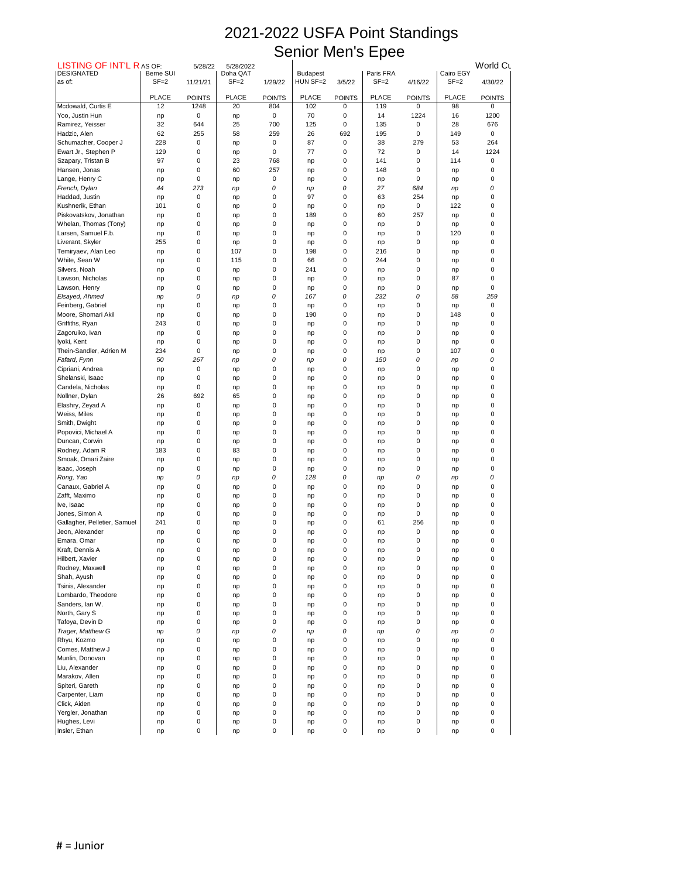| <b>LISTING OF INT'L RAS OF:</b>                 |                       | 5/28/22       | 5/28/2022            |               |                             |               |                       |                  |                       | World Cu      |
|-------------------------------------------------|-----------------------|---------------|----------------------|---------------|-----------------------------|---------------|-----------------------|------------------|-----------------------|---------------|
| <b>DESIGNATED</b><br>as of:                     | Berne SUI<br>$SF = 2$ | 11/21/21      | Doha QAT<br>$SF = 2$ | 1/29/22       | <b>Budapest</b><br>HUN SF=2 | 3/5/22        | Paris FRA<br>$SF = 2$ | 4/16/22          | Cairo EGY<br>$SF = 2$ | 4/30/22       |
|                                                 |                       |               |                      |               |                             |               |                       |                  |                       |               |
| Mcdowald, Curtis E                              | <b>PLACE</b><br>12    | <b>POINTS</b> | <b>PLACE</b>         | <b>POINTS</b> | <b>PLACE</b>                | <b>POINTS</b> | <b>PLACE</b>          | <b>POINTS</b>    | <b>PLACE</b><br>98    | <b>POINTS</b> |
| Yoo, Justin Hun                                 |                       | 1248<br>0     | 20<br>np             | 804<br>0      | 102<br>70                   | 0<br>0        | 119<br>14             | 0<br>1224        | 16                    | 0<br>1200     |
| Ramirez, Yeisser                                | np<br>32              | 644           | 25                   | 700           | 125                         | 0             | 135                   | 0                | 28                    | 676           |
| Hadzic, Alen                                    | 62                    | 255           | 58                   | 259           | 26                          | 692           | 195                   | 0                | 149                   | 0             |
| Schumacher, Cooper J                            | 228                   | 0             | np                   | 0             | 87                          | 0             | 38                    | 279              | 53                    | 264           |
| Ewart Jr., Stephen P                            | 129                   | 0             | np                   | 0             | 77                          | 0             | 72                    | $\pmb{0}$        | 14                    | 1224          |
| Szapary, Tristan B                              | 97                    | 0             | 23                   | 768           | np                          | 0             | 141                   | 0                | 114                   | 0             |
| Hansen, Jonas                                   | np                    | 0             | 60                   | 257           | np                          | 0             | 148                   | 0                | np                    | 0             |
| Lange, Henry C                                  | np                    | 0             | np                   | 0             | np                          | 0             | np                    | 0                | np                    | 0             |
| French, Dylan                                   | 44                    | 273           | np                   | 0             | np                          | 0             | 27                    | 684              | np                    | 0             |
| Haddad, Justin                                  | np                    | 0             | np                   | 0             | 97                          | 0             | 63                    | 254              | np                    | 0             |
| Kushnerik, Ethan                                | 101                   | 0             | np                   | 0             | np                          | 0             | np                    | 0                | 122                   | 0             |
| Piskovatskov, Jonathan<br>Whelan, Thomas (Tony) | np                    | 0             | np                   | 0             | 189                         | 0             | 60                    | 257              | np                    | 0             |
| Larsen, Samuel F.b.                             | np                    | 0<br>0        | np<br>np             | 0<br>0        | np                          | 0<br>0        | np                    | 0<br>0           | np<br>120             | 0<br>0        |
| Liverant, Skyler                                | np<br>255             | 0             | np                   | 0             | np<br>np                    | 0             | np<br>np              | 0                | np                    | 0             |
| Temiryaev, Alan Leo                             | np                    | 0             | 107                  | 0             | 198                         | 0             | 216                   | 0                | np                    | 0             |
| White, Sean W                                   | np                    | 0             | 115                  | 0             | 66                          | 0             | 244                   | $\Omega$         | np                    | 0             |
| Silvers, Noah                                   | np                    | 0             | np                   | 0             | 241                         | 0             | np                    | $\boldsymbol{0}$ | np                    | 0             |
| Lawson, Nicholas                                | np                    | 0             | np                   | 0             | np                          | 0             | np                    | 0                | 87                    | 0             |
| Lawson, Henry                                   | np                    | 0             | np                   | 0             | np                          | 0             | np                    | 0                | np                    | 0             |
| Elsayed, Ahmed                                  | np                    | 0             | np                   | 0             | 167                         | 0             | 232                   | 0                | 58                    | 259           |
| Feinberg, Gabriel                               | np                    | 0             | np                   | 0             | np                          | 0             | np                    | 0                | np                    | 0             |
| Moore, Shomari Akil                             | np                    | 0             | np                   | 0             | 190                         | 0             | np                    | 0                | 148                   | 0             |
| Griffiths, Ryan                                 | 243                   | 0             | np                   | 0             | np                          | 0             | np                    | 0                | np                    | 0             |
| Zagoruiko, Ivan                                 | np                    | 0             | np                   | 0             | np                          | 0             | np                    | 0                | np                    | 0             |
| Iyoki, Kent                                     | np                    | 0             | np                   | 0             | np                          | 0             | np                    | 0                | np                    | 0             |
| Thein-Sandler, Adrien M                         | 234                   | 0             | np                   | 0             | np                          | 0             | np                    | 0                | 107                   | 0             |
| Fafard, Fynn                                    | 50                    | 267           | np                   | 0             | np                          | 0             | 150                   | 0                | np                    | 0             |
| Cipriani, Andrea<br>Shelanski, Isaac            | np                    | 0<br>0        | np                   | 0<br>0        | np                          | 0<br>0        | np                    | 0<br>0           | np                    | 0<br>0        |
| Candela, Nicholas                               | np<br>np              | 0             | np<br>np             | 0             | np                          | 0             | np<br>np              | 0                | np<br>np              | 0             |
| Nollner, Dylan                                  | 26                    | 692           | 65                   | 0             | np<br>np                    | 0             | np                    | 0                | np                    | 0             |
| Elashry, Zeyad A                                | np                    | 0             | np                   | 0             | np                          | 0             | np                    | 0                | np                    | 0             |
| Weiss, Miles                                    | np                    | 0             | np                   | 0             | np                          | 0             | np                    | 0                | np                    | 0             |
| Smith, Dwight                                   | np                    | 0             | np                   | 0             | np                          | 0             | np                    | 0                | np                    | 0             |
| Popovici, Michael A                             | np                    | 0             | np                   | 0             | np                          | 0             | np                    | 0                | np                    | 0             |
| Duncan, Corwin                                  | np                    | 0             | np                   | 0             | np                          | 0             | np                    | 0                | np                    | 0             |
| Rodney, Adam R                                  | 183                   | 0             | 83                   | 0             | np                          | 0             | np                    | 0                | np                    | 0             |
| Smoak, Omari Zaire                              | np                    | 0             | np                   | 0             | np                          | 0             | np                    | 0                | np                    | 0             |
| Isaac, Joseph                                   | np                    | 0             | np                   | 0             | np                          | 0             | np                    | 0                | np                    | 0             |
| Rong, Yao                                       | np                    | 0             | np                   | 0             | 128                         | 0             | np                    | 0                | np                    | 0             |
| Canaux, Gabriel A                               | np                    | 0             | np                   | 0             | np                          | 0             | np                    | 0                | np                    | 0             |
| Zafft, Maximo                                   | np                    | 0             | np                   | 0             | np                          | 0             | np                    | 0                | np                    | 0<br>0        |
| Ive, Isaac<br>Jones, Simon A                    | np<br>np              | 0<br>0        | np<br>np             | 0<br>0        | np<br>np                    | 0<br>0        | np<br>np              | 0<br>0           | np<br>np              | 0             |
| Gallagher, Pelletier, Samuel                    | 241                   | 0             | np                   | 0             | np                          | 0             | 61                    | 256              | np                    | 0             |
| Jeon, Alexander                                 | np                    | 0             | np                   | 0             | np                          | 0             | np                    | 0                | np                    | 0             |
| Emara, Omar                                     | np                    | 0             | np                   | 0             | np                          | 0             | np                    | 0                | np                    | 0             |
| Kraft, Dennis A                                 | np                    | 0             | np                   | 0             | np                          | 0             | np                    | 0                | np                    | 0             |
| Hilbert, Xavier                                 | np                    | 0             | np                   | 0             | np                          | 0             | np                    | 0                | np                    | 0             |
| Rodney, Maxwell                                 | np                    | 0             | np                   | 0             | np                          | 0             | np                    | 0                | np                    | 0             |
| Shah, Ayush                                     | np                    | 0             | np                   | 0             | np                          | 0             | np                    | 0                | np                    | 0             |
| Tsinis, Alexander                               | np                    | 0             | np                   | 0             | np                          | 0             | np                    | 0                | np                    | 0             |
| Lombardo, Theodore                              | np                    | 0             | np                   | 0             | np                          | 0             | np                    | $\pmb{0}$        | np                    | 0             |
| Sanders, lan W.                                 | np                    | 0             | np                   | 0             | np                          | 0             | np                    | 0                | np                    |               |
| North, Gary S                                   | np                    | 0             | np                   | 0             | np                          | 0             | np                    | 0                | np                    | 0             |
| Tafoya, Devin D                                 | np                    | 0             | np                   | 0             | np                          | 0             | np                    | 0                | np                    | 0             |
| Trager, Matthew G<br>Rhyu, Kozmo                | np                    | 0<br>0        | np                   | 0<br>0        | np                          | 0<br>0        | np                    | 0<br>0           | np                    | 0<br>0        |
| Comes, Matthew J                                | np<br>np              | 0             | np<br>np             | 0             | np<br>np                    | 0             | np<br>np              | 0                | np<br>np              | 0             |
| Munlin, Donovan                                 | np                    | 0             | np                   | 0             | np                          | 0             | np                    | 0                | np                    | 0             |
| Liu, Alexander                                  | np                    | 0             | np                   | 0             | np                          | 0             | np                    | 0                | np                    | 0             |
| Marakov, Allen                                  | np                    | 0             | np                   | 0             | np                          | 0             | np                    | 0                | np                    | 0             |
| Spiteri, Gareth                                 | np                    | 0             | np                   | 0             | np                          | 0             | np                    | 0                | np                    | 0             |
| Carpenter, Liam                                 | np                    | 0             | np                   | 0             | np                          | 0             | np                    | 0                | np                    | 0             |
| Click, Aiden                                    | np                    | 0             | np                   | 0             | np                          | 0             | np                    | 0                | np                    | 0             |
| Yergler, Jonathan                               | np                    | 0             | np                   | 0             | np                          | 0             | np                    | 0                | np                    | 0             |
| Hughes, Levi                                    | np                    | 0             | np                   | 0             | np                          | 0             | np                    | 0                | np                    | 0             |
| Insler, Ethan                                   | np                    | 0             | np                   | 0             | np                          | 0             | np                    | $\mathbf 0$      | np                    | 0             |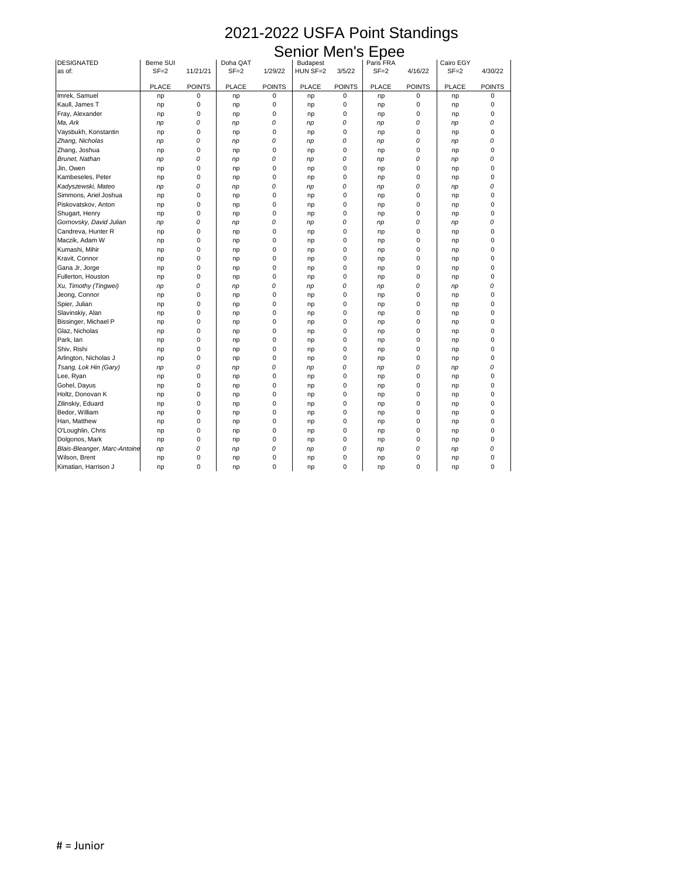### Senior Men's Epee

| <b>DESIGNATED</b>            | Berne SUI    |               | Doha QAT     |               | <b>Budapest</b> |               | Paris FRA    |               | Cairo EGY    |               |
|------------------------------|--------------|---------------|--------------|---------------|-----------------|---------------|--------------|---------------|--------------|---------------|
| as of:                       | $SF = 2$     | 11/21/21      | $SF = 2$     | 1/29/22       | HUN SF=2        | 3/5/22        | $SF = 2$     | 4/16/22       | $SF = 2$     | 4/30/22       |
|                              | <b>PLACE</b> | <b>POINTS</b> | <b>PLACE</b> | <b>POINTS</b> | <b>PLACE</b>    | <b>POINTS</b> | <b>PLACE</b> | <b>POINTS</b> | <b>PLACE</b> | <b>POINTS</b> |
| Imrek, Samuel                | np           | 0             | np           | 0             | np              | $\pmb{0}$     | np           | $\mathbf 0$   | np           | $\Omega$      |
| Kaull, James T               | np           | 0             | np           | 0             | np              | 0             | np           | 0             | np           |               |
| Fray, Alexander              | np           | 0             | np           | 0             | np              | 0             | np           | 0             | np           | 0             |
| Ma, Ark                      | np           | 0             | np           | 0             | np              | 0             | np           | 0             | np           |               |
| Vaysbukh, Konstantin         | np           | 0             | np           | 0             | np              | 0             | np           | 0             | np           |               |
| Zhang, Nicholas              | np           | 0             | np           | 0             | np              | 0             | np           | 0             | np           |               |
| Zhang, Joshua                | np           | 0             | np           | 0             | np              | $\Omega$      | np           | $\Omega$      | np           |               |
| <b>Brunet, Nathan</b>        | np           | 0             | np           | 0             | np              | 0             | np           | 0             | np           |               |
| Jin, Owen                    | np           | 0             | np           | 0             | np              | 0             | np           | 0             | np           | 0             |
| Kambeseles, Peter            | np           | $\mathbf 0$   | np           | 0             | np              | 0             | np           | 0             | np           |               |
| Kadyszewski, Mateo           | np           | 0             | np           | 0             | np              | 0             | np           | 0             | np           |               |
| Simmons, Ariel Joshua        | np           | 0             | np           | 0             | np              | $\Omega$      | np           | $\Omega$      | np           |               |
| Piskovatskov, Anton          | np           | 0             | np           | 0             | np              | 0             | np           | 0             | np           |               |
| Shugart, Henry               | np           | 0             | np           | 0             | np              | $\Omega$      | np           | $\mathbf{0}$  | np           | 0             |
| Gornovsky, David Julian      | np           | 0             |              | 0             |                 | 0             |              | 0             |              |               |
| Candreva, Hunter R           |              | 0             | np           | 0             | np              | 0             | np           | 0             | np           |               |
| Maczik, Adam W               | np           | 0             | np           | 0             | np              | $\Omega$      | np           | $\mathbf{0}$  | np           |               |
| Kumashi, Mihir               | np           | 0             | np           | 0             | np              | 0             | np           | 0             | np           |               |
| Kravit, Connor               | np           | 0             | np           | 0             | np              | $\Omega$      | np           | $\Omega$      | np           | 0             |
| Gana Jr, Jorge               | np           | 0             | np           | 0             | np              | 0             | np           | 0             | np           | 0             |
|                              | np           |               | np           |               | np              |               | np           |               | np           |               |
| Fullerton, Houston           | np           | 0             | np           | 0             | np              | 0             | np           | 0             | np           |               |
| Xu, Timothy (Tingwei)        | np           | 0             | np           | 0             | np              | 0             | np           | 0             | np           |               |
| Jeong, Connor                | np           | 0             | np           | 0             | np              | 0             | np           | 0             | np           |               |
| Spier, Julian                | np           | 0             | np           | 0             | np              | $\Omega$      | np           | $\Omega$      | np           | 0             |
| Slavinskiy, Alan             | np           | 0             | np           | 0             | np              | $\Omega$      | np           | $\Omega$      | np           |               |
| Bissinger, Michael P         | np           | 0             | np           | 0             | np              | 0             | np           | 0             | np           |               |
| Glaz, Nicholas               | np           | 0             | np           | 0             | np              | 0             | np           | 0             | np           |               |
| Park, lan                    | np           | $\pmb{0}$     | np           |               | np              | $\pmb{0}$     | np           | 0             | np           |               |
| Shiv, Rishi                  | np           | 0             | np           | 0             | np              | 0             | np           | $\pmb{0}$     | np           | 0             |
| Arlington, Nicholas J        | np           | 0             | np           | 0             | np              | 0             | np           | 0             | np           | 0             |
| Tsang, Lok Hin (Gary)        | np           | 0             | np           | 0             | np              | 0             | np           | 0             | np           |               |
| Lee, Ryan                    | np           | 0             | np           | 0             | np              | 0             | np           | 0             | np           | 0             |
| Gohel, Dayus                 | np           | 0             | np           | 0             | np              | 0             | np           | 0             | np           | 0             |
| Holtz, Donovan K             | np           | 0             | np           | 0             | np              | 0             | np           | 0             | np           | 0             |
| Zilinskiy, Eduard            | np           | 0             | np           | 0             | np              | 0             | np           | 0             | np           | 0             |
| Bedor, William               | np           | 0             | np           | 0             | np              | 0             | np           | 0             | np           | 0             |
| Han, Matthew                 | np           | 0             | np           | 0             | np              | $\Omega$      | np           | $\mathbf{0}$  | np           | 0             |
| O'Loughlin, Chris            | np           | 0             | np           | 0             | np              | 0             | np           | 0             | np           | 0             |
| Dolgonos, Mark               | np           | 0             | np           | 0             | np              | 0             | np           | 0             | np           | 0             |
| Blais-Bleanger, Marc-Antoine | np           | 0             | np           | 0             | np              | 0             | np           | 0             | np           | 0             |
| Wilson, Brent                | np           | 0             | np           | 0             | np              | $\pmb{0}$     | np           | $\mathbf 0$   | np           | 0             |
| Kimatian, Harrison J         | np           | 0             | np           | 0             | np              | $\pmb{0}$     | np           | $\mathbf 0$   | np           | 0             |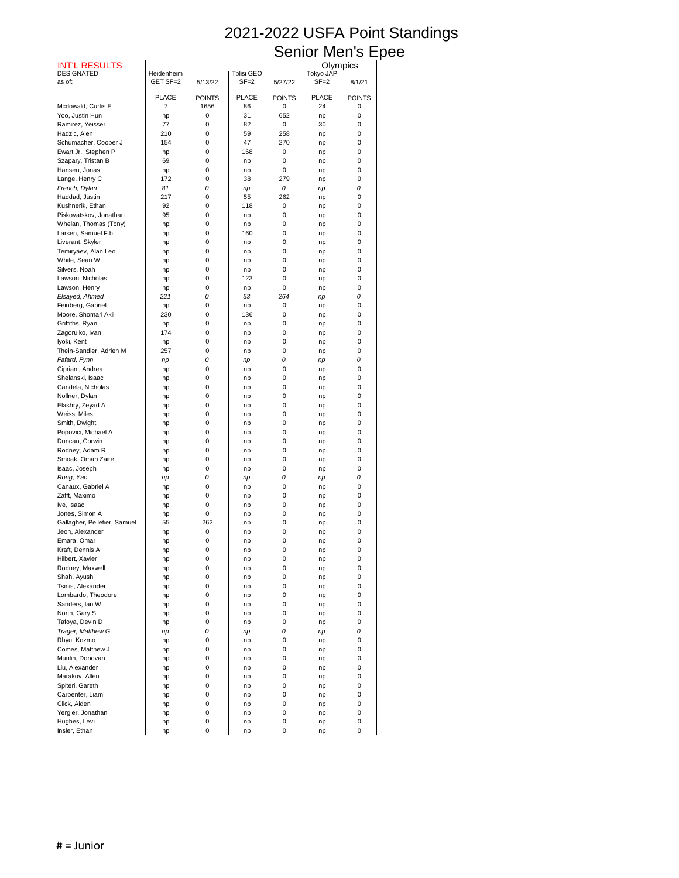## Senior Men's Epee

| <b>INT'L RESULTS</b>              |                                |                       |                        |                              |                       | Olympics                     |
|-----------------------------------|--------------------------------|-----------------------|------------------------|------------------------------|-----------------------|------------------------------|
| <b>DESIGNATED</b><br>as of:       | Heidenheim<br>GET SF=2         | 5/13/22               | Tblisi GEO<br>$SF = 2$ | 5/27/22                      | Tokyo JAP<br>$SF = 2$ | 8/1/21                       |
|                                   |                                |                       |                        |                              |                       |                              |
| Mcdowald, Curtis E                | <b>PLACE</b><br>$\overline{7}$ | <b>POINTS</b><br>1656 | <b>PLACE</b><br>86     | <b>POINTS</b><br>$\mathbf 0$ | <b>PLACE</b><br>24    | <b>POINTS</b><br>$\mathbf 0$ |
| Yoo, Justin Hun                   | np                             | 0                     | 31                     | 652                          | np                    | 0                            |
| Ramirez, Yeisser                  | 77                             | 0                     | 82                     | $\mathbf 0$                  | 30                    | $\boldsymbol{0}$             |
| Hadzic, Alen                      | 210                            | 0                     | 59                     | 258                          | np                    | $\boldsymbol{0}$             |
| Schumacher, Cooper J              | 154                            | 0                     | 47                     | 270                          | np                    | 0                            |
| Ewart Jr., Stephen P              | np                             | 0                     | 168                    | $\mathbf 0$                  | np                    | 0                            |
| Szapary, Tristan B                | 69                             | 0                     | np                     | 0                            | np                    | $\boldsymbol{0}$             |
| Hansen, Jonas                     | np                             | 0                     | np                     | $\mathbf 0$                  | np                    | $\boldsymbol{0}$             |
| Lange, Henry C                    | 172                            | 0                     | 38                     | 279                          | np                    | 0                            |
| French, Dylan                     | 81                             | 0                     | np                     | 0                            | np                    | 0                            |
| Haddad, Justin                    | 217                            | 0                     | 55                     | 262                          | np                    | 0                            |
| Kushnerik, Ethan                  | 92                             | 0                     | 118                    | $\mathbf 0$                  | np                    | 0                            |
| Piskovatskov, Jonathan            | 95                             | 0                     | np                     | $\mathbf 0$                  | np                    | 0                            |
| Whelan, Thomas (Tony)             | np                             | 0                     | np                     | $\mathbf 0$                  | np                    | 0                            |
| Larsen, Samuel F.b.               | np                             | 0                     | 160                    | 0                            | np                    | 0                            |
| Liverant, Skyler                  | np                             | 0                     | np                     | 0                            | np                    | 0                            |
| Temiryaev, Alan Leo               | np                             | 0                     | np                     | $\mathbf 0$                  | np                    | $\boldsymbol{0}$             |
| White, Sean W                     | np                             | 0                     | np                     | 0                            | np                    | 0                            |
| Silvers, Noah                     | np                             | 0                     | np                     | 0                            | np                    | 0                            |
| Lawson, Nicholas                  | np                             | 0                     | 123                    | $\mathbf 0$                  | np                    | 0                            |
| Lawson, Henry                     | np                             | 0                     | np                     | $\mathbf 0$                  | np                    | 0                            |
| Elsayed, Ahmed                    | 221                            | 0                     | 53                     | 264                          | np                    | 0                            |
| Feinberg, Gabriel                 | np                             | 0                     | np                     | 0                            | np                    | 0                            |
| Moore, Shomari Akil               | 230                            | 0                     | 136                    | $\mathbf 0$                  | np                    | 0                            |
| Griffiths, Ryan                   | np                             | 0                     | np                     | $\pmb{0}$                    | np                    | 0                            |
| Zagoruiko, Ivan                   | 174                            | 0                     | np                     | 0                            | np                    | 0                            |
| Iyoki, Kent                       | np                             | 0                     | np                     | $\pmb{0}$                    | np                    | 0                            |
| Thein-Sandler, Adrien M           | 257                            | 0                     | np                     | 0                            | np                    | 0                            |
| Fafard, Fynn                      | np                             | 0                     | np                     | 0                            | np                    | 0                            |
| Cipriani, Andrea                  | np                             | 0                     | np                     | 0                            | np                    | 0                            |
| Shelanski, Isaac                  | np                             | 0                     | np                     | 0                            | np                    | 0                            |
| Candela, Nicholas                 | np                             | 0                     | np                     | 0                            | np                    | 0                            |
| Nollner, Dylan                    | np                             | 0                     | np                     | 0                            | np                    | 0                            |
| Elashry, Zeyad A                  | np                             | 0                     | np                     | 0                            | np                    | 0                            |
| Weiss, Miles                      | np                             | 0                     | np                     | 0                            | np                    | 0                            |
| Smith, Dwight                     | np                             | 0                     | np                     | 0                            | np                    | 0                            |
| Popovici, Michael A               | np                             | 0                     | np                     | 0                            | np                    | 0                            |
| Duncan, Corwin                    | np                             | 0                     | np                     | 0                            | np                    | 0                            |
| Rodney, Adam R                    | np                             | 0                     | np                     | 0                            | np                    | 0                            |
| Smoak, Omari Zaire                | np                             | 0                     | np                     | 0                            | np                    | 0                            |
| Isaac, Joseph                     | np                             | 0                     | np                     | 0                            | np                    | 0                            |
| Rong, Yao                         | np                             | 0                     | np                     | 0                            | np                    | 0                            |
| Canaux, Gabriel A                 | np                             | 0                     | np                     | 0                            | np                    | 0                            |
| Zafft, Maximo                     | np                             | 0                     | np                     | 0                            | np                    | 0                            |
| Ive, Isaac                        | np                             | 0                     | np                     | 0                            | np                    | 0                            |
| Jones, Simon A                    | np                             | 0                     | np                     | 0                            | np                    | 0                            |
| Gallagher, Pelletier, Samuel      | 55                             | 262                   | np                     | 0                            | np                    | 0                            |
| Jeon, Alexander                   | np                             | 0                     | np                     | 0                            | np                    | 0                            |
| Emara, Omar                       | np                             | 0                     | np                     | 0                            | np                    | 0                            |
| Kraft, Dennis A                   | np                             | 0                     | np                     | 0                            | np                    | 0                            |
| Hilbert, Xavier                   | np                             | 0                     | np                     | 0                            | np                    | 0                            |
| Rodney, Maxwell                   | np                             | 0                     | np                     | 0                            | np                    | 0                            |
| Shah, Ayush                       | np                             | 0                     | np                     | 0                            | np                    | 0                            |
| Tsinis, Alexander                 | np                             | 0                     | np                     | 0                            | np                    | 0                            |
| Lombardo, Theodore                | np                             | 0                     | np                     | 0                            | np                    | 0                            |
| Sanders, lan W.                   | np                             | 0                     | np                     | 0                            | np                    | 0                            |
| North, Gary S                     | np                             | 0                     | np                     | 0                            | np                    | 0                            |
| Tafoya, Devin D                   | np                             | 0                     | np                     | 0                            | np                    | 0                            |
| Trager, Matthew G                 | np                             | 0                     | np                     | 0                            | np                    | 0                            |
| Rhyu, Kozmo                       | np                             | 0                     | np                     | 0                            | np                    | 0                            |
| Comes, Matthew J                  | np                             | 0                     | np                     | $\pmb{0}$                    | np                    | 0                            |
| Munlin, Donovan                   | np                             | 0                     | np                     | $\mathbf 0$                  | np                    | 0                            |
| Liu, Alexander                    | np                             | 0                     | np                     | 0                            | np                    | 0                            |
| Marakov, Allen                    | np                             | 0                     | np                     | 0                            | np                    | 0                            |
| Spiteri, Gareth                   | np                             | 0                     | np                     | $\mathbf 0$                  | np                    | 0                            |
| Carpenter, Liam                   | np                             | 0                     | np                     | $\pmb{0}$                    | np                    | 0                            |
| Click, Aiden                      | np                             | 0                     | np                     | 0                            | np                    | 0                            |
|                                   |                                |                       |                        | 0                            |                       | 0                            |
|                                   |                                |                       |                        |                              |                       |                              |
| Yergler, Jonathan<br>Hughes, Levi | np<br>np                       | 0<br>0                | np<br>np               | 0                            | np<br>np              | 0                            |